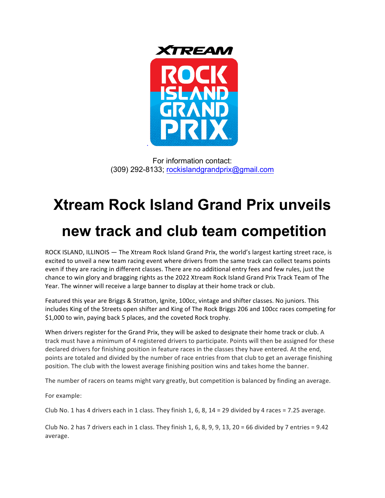

For information contact: (309) 292-8133; rockislandgrandprix@gmail.com

## **Xtream Rock Island Grand Prix unveils**

## **new track and club team competition**

ROCK ISLAND, ILLINOIS — The Xtream Rock Island Grand Prix, the world's largest karting street race, is excited to unveil a new team racing event where drivers from the same track can collect teams points even if they are racing in different classes. There are no additional entry fees and few rules, just the chance to win glory and bragging rights as the 2022 Xtream Rock Island Grand Prix Track Team of The Year. The winner will receive a large banner to display at their home track or club.

Featured this year are Briggs & Stratton, Ignite, 100cc, vintage and shifter classes. No juniors. This includes King of the Streets open shifter and King of The Rock Briggs 206 and 100cc races competing for \$1,000 to win, paying back 5 places, and the coveted Rock trophy.

When drivers register for the Grand Prix, they will be asked to designate their home track or club. A track must have a minimum of 4 registered drivers to participate. Points will then be assigned for these declared drivers for finishing position in feature races in the classes they have entered. At the end, points are totaled and divided by the number of race entries from that club to get an average finishing position. The club with the lowest average finishing position wins and takes home the banner.

The number of racers on teams might vary greatly, but competition is balanced by finding an average.

For example:

Club No. 1 has 4 drivers each in 1 class. They finish 1, 6, 8,  $14 = 29$  divided by 4 races = 7.25 average.

Club No. 2 has 7 drivers each in 1 class. They finish 1, 6, 8, 9, 9, 13, 20 = 66 divided by 7 entries = 9.42 average.